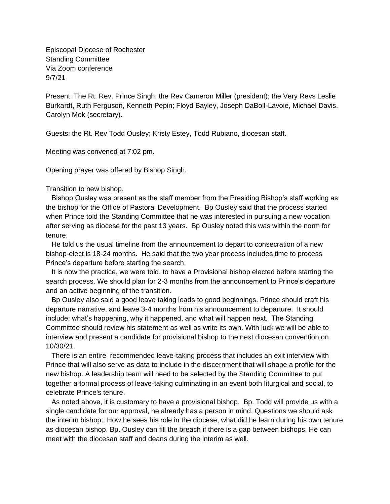Episcopal Diocese of Rochester Standing Committee Via Zoom conference 9/7/21

Present: The Rt. Rev. Prince Singh; the Rev Cameron Miller (president); the Very Revs Leslie Burkardt, Ruth Ferguson, Kenneth Pepin; Floyd Bayley, Joseph DaBoll-Lavoie, Michael Davis, Carolyn Mok (secretary).

Guests: the Rt. Rev Todd Ousley; Kristy Estey, Todd Rubiano, diocesan staff.

Meeting was convened at 7:02 pm.

Opening prayer was offered by Bishop Singh.

Transition to new bishop.

 Bishop Ousley was present as the staff member from the Presiding Bishop's staff working as the bishop for the Office of Pastoral Development. Bp Ousley said that the process started when Prince told the Standing Committee that he was interested in pursuing a new vocation after serving as diocese for the past 13 years. Bp Ousley noted this was within the norm for tenure.

 He told us the usual timeline from the announcement to depart to consecration of a new bishop-elect is 18-24 months. He said that the two year process includes time to process Prince's departure before starting the search.

 It is now the practice, we were told, to have a Provisional bishop elected before starting the search process. We should plan for 2-3 months from the announcement to Prince's departure and an active beginning of the transition.

 Bp Ousley also said a good leave taking leads to good beginnings. Prince should craft his departure narrative, and leave 3-4 months from his announcement to departure. It should include: what's happening, why it happened, and what will happen next. The Standing Committee should review his statement as well as write its own. With luck we will be able to interview and present a candidate for provisional bishop to the next diocesan convention on 10/30/21.

 There is an entire recommended leave-taking process that includes an exit interview with Prince that will also serve as data to include in the discernment that will shape a profile for the new bishop. A leadership team will need to be selected by the Standing Committee to put together a formal process of leave-taking culminating in an event both liturgical and social, to celebrate Prince's tenure.

 As noted above, it is customary to have a provisional bishop. Bp. Todd will provide us with a single candidate for our approval, he already has a person in mind. Questions we should ask the interim bishop: How he sees his role in the diocese, what did he learn during his own tenure as diocesan bishop. Bp. Ousley can fill the breach if there is a gap between bishops. He can meet with the diocesan staff and deans during the interim as well.